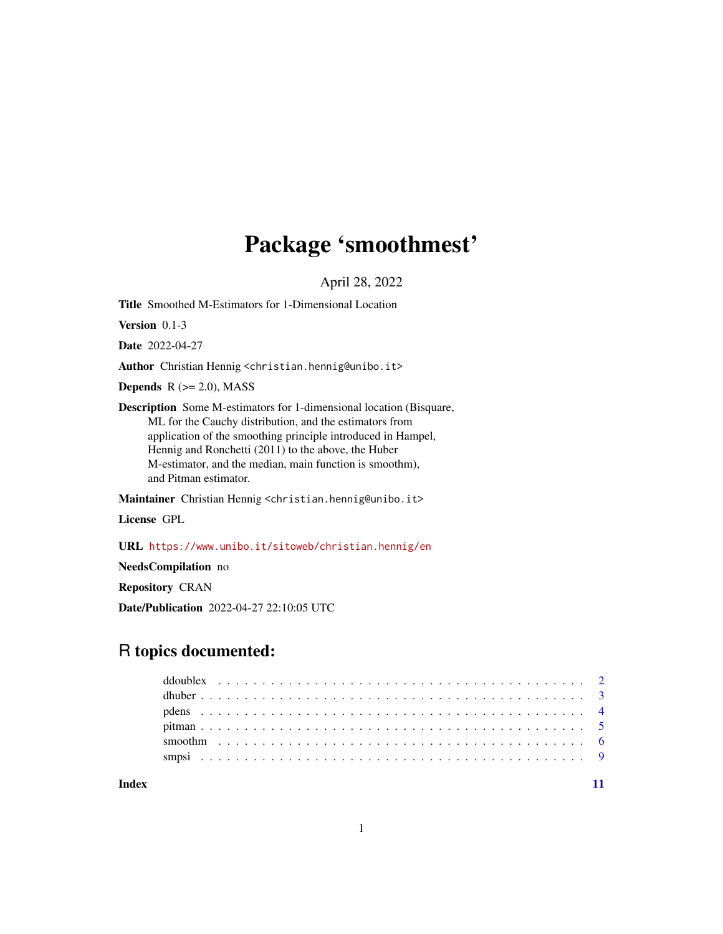## Package 'smoothmest'

April 28, 2022

<span id="page-0-0"></span>Title Smoothed M-Estimators for 1-Dimensional Location

Version 0.1-3

Date 2022-04-27

Author Christian Hennig <christian.hennig@unibo.it>

Depends  $R$  ( $>= 2.0$ ), MASS

Description Some M-estimators for 1-dimensional location (Bisquare, ML for the Cauchy distribution, and the estimators from application of the smoothing principle introduced in Hampel, Hennig and Ronchetti (2011) to the above, the Huber M-estimator, and the median, main function is smoothm), and Pitman estimator.

Maintainer Christian Hennig <christian.hennig@unibo.it>

License GPL

URL <https://www.unibo.it/sitoweb/christian.hennig/en>

NeedsCompilation no

Repository CRAN

Date/Publication 2022-04-27 22:10:05 UTC

## R topics documented:

**Index** [11](#page-10-0)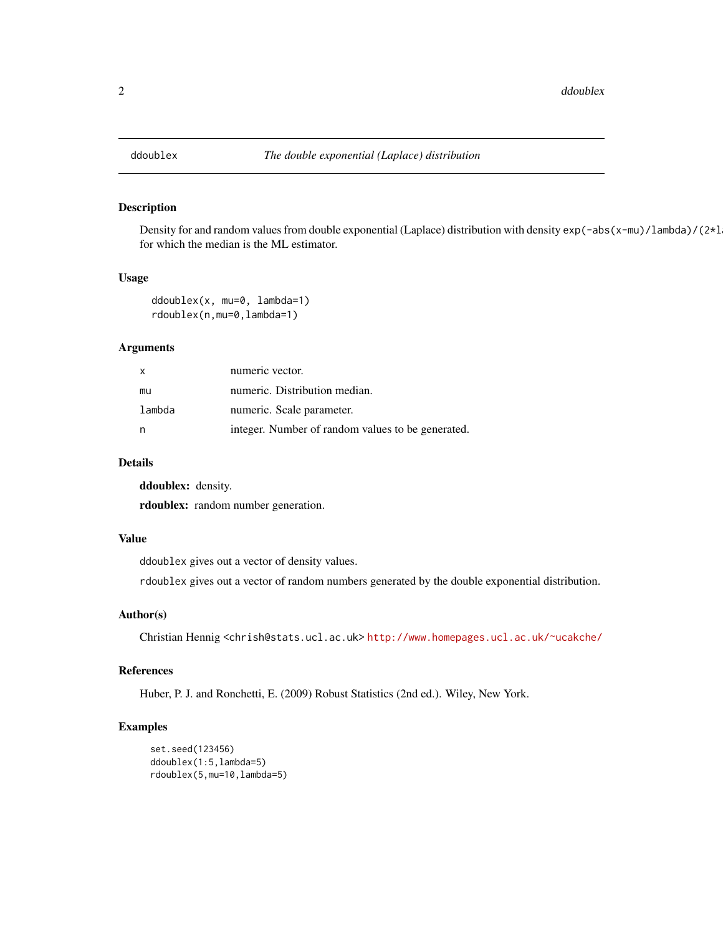<span id="page-1-0"></span>

## Description

Density for and random values from double exponential (Laplace) distribution with density  $exp(-abs(x-mu)/lambda)/(2*l$ for which the median is the ML estimator.

## Usage

```
ddoublex(x, mu=0, lambda=1)
rdoublex(n,mu=0,lambda=1)
```
#### Arguments

| $\mathsf{x}$ | numeric vector.                                   |
|--------------|---------------------------------------------------|
| mu           | numeric. Distribution median.                     |
| lambda       | numeric. Scale parameter.                         |
|              | integer. Number of random values to be generated. |

#### Details

ddoublex: density.

rdoublex: random number generation.

#### Value

ddoublex gives out a vector of density values.

rdoublex gives out a vector of random numbers generated by the double exponential distribution.

#### Author(s)

Christian Hennig <chrish@stats.ucl.ac.uk> <http://www.homepages.ucl.ac.uk/~ucakche/>

#### References

Huber, P. J. and Ronchetti, E. (2009) Robust Statistics (2nd ed.). Wiley, New York.

## Examples

```
set.seed(123456)
ddoublex(1:5,lambda=5)
rdoublex(5,mu=10,lambda=5)
```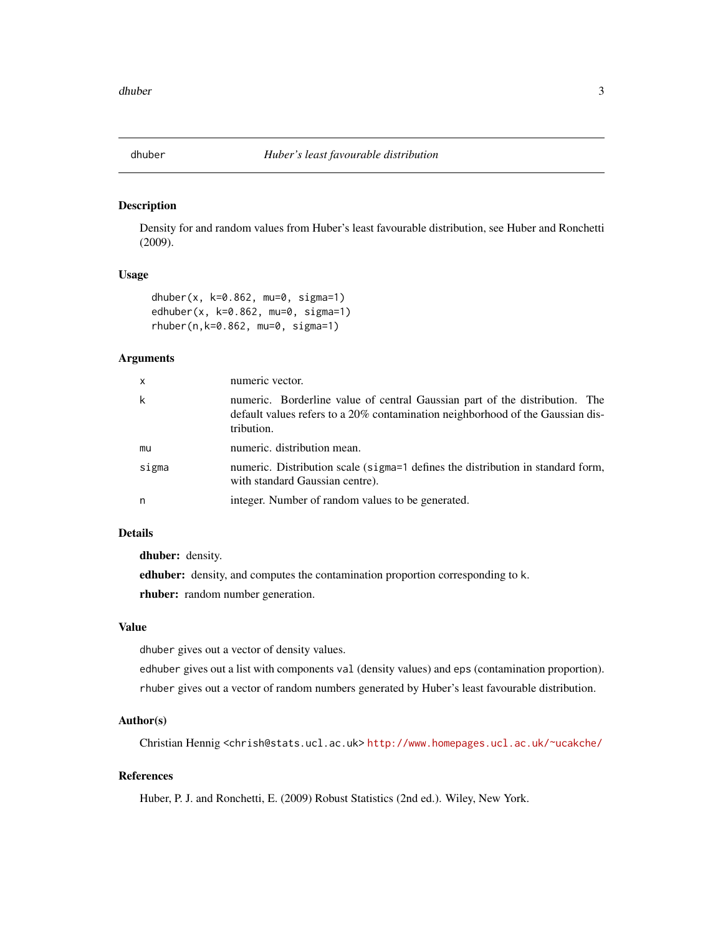<span id="page-2-0"></span>

#### Description

Density for and random values from Huber's least favourable distribution, see Huber and Ronchetti (2009).

#### Usage

```
dhuber(x, k=0.862, mu=0, sigma=1)
edhuber(x, k=0.862, mu=0, sigma=1)
rhuber(n,k=0.862, mu=0, sigma=1)
```
## Arguments

| $\mathsf{x}$ | numeric vector.                                                                                                                                                             |
|--------------|-----------------------------------------------------------------------------------------------------------------------------------------------------------------------------|
| k            | numeric. Borderline value of central Gaussian part of the distribution. The<br>default values refers to a 20% contamination neighborhood of the Gaussian dis-<br>tribution. |
| mu           | numeric. distribution mean.                                                                                                                                                 |
| sigma        | numeric. Distribution scale (sigma=1 defines the distribution in standard form,<br>with standard Gaussian centre).                                                          |
| n            | integer. Number of random values to be generated.                                                                                                                           |

## Details

dhuber: density.

edhuber: density, and computes the contamination proportion corresponding to k. rhuber: random number generation.

## Value

dhuber gives out a vector of density values.

edhuber gives out a list with components val (density values) and eps (contamination proportion). rhuber gives out a vector of random numbers generated by Huber's least favourable distribution.

## Author(s)

Christian Hennig <chrish@stats.ucl.ac.uk> <http://www.homepages.ucl.ac.uk/~ucakche/>

## References

Huber, P. J. and Ronchetti, E. (2009) Robust Statistics (2nd ed.). Wiley, New York.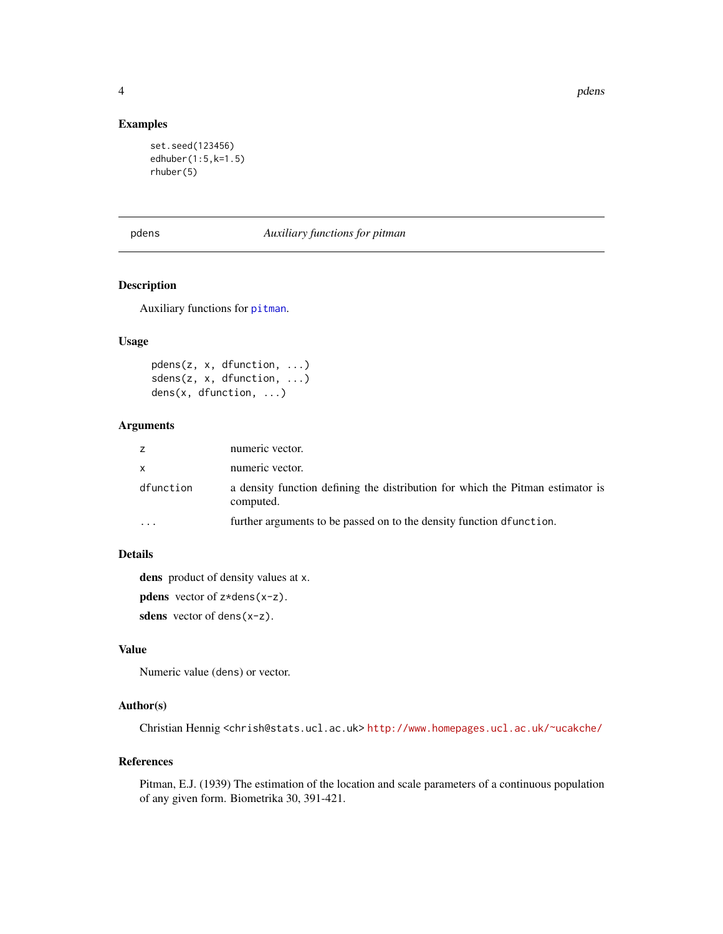4 pdens and the set of the set of the set of the set of the set of the set of the set of the set of the set of the set of the set of the set of the set of the set of the set of the set of the set of the set of the set of t

## Examples

```
set.seed(123456)
edhuber(1:5,k=1.5)
rhuber(5)
```
#### pdens *Auxiliary functions for pitman*

## Description

Auxiliary functions for [pitman](#page-4-1).

#### Usage

pdens(z, x, dfunction, ...) sdens(z, x, dfunction, ...) dens(x, dfunction, ...)

#### Arguments

| z         | numeric vector.                                                                             |
|-----------|---------------------------------------------------------------------------------------------|
| <b>X</b>  | numeric vector.                                                                             |
| dfunction | a density function defining the distribution for which the Pitman estimator is<br>computed. |
|           | further arguments to be passed on to the density function defunction.                       |

## Details

dens product of density values at x.

**pdens** vector of  $z * dens(x-z)$ .

sdens vector of dens(x-z).

## Value

Numeric value (dens) or vector.

## Author(s)

Christian Hennig <chrish@stats.ucl.ac.uk> <http://www.homepages.ucl.ac.uk/~ucakche/>

## References

Pitman, E.J. (1939) The estimation of the location and scale parameters of a continuous population of any given form. Biometrika 30, 391-421.

<span id="page-3-0"></span>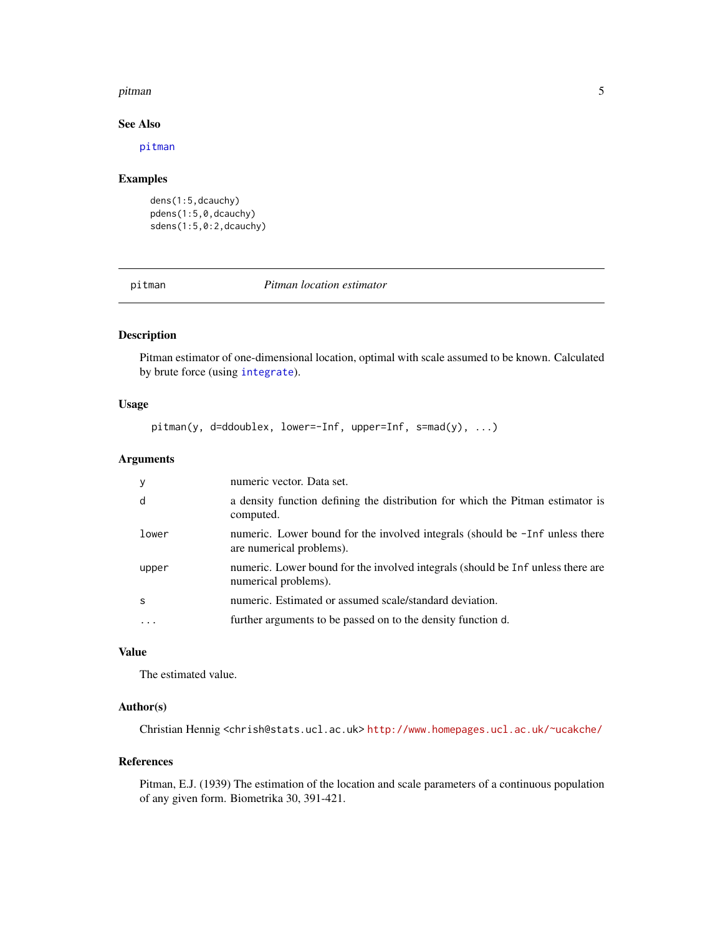#### <span id="page-4-0"></span>pitman 5 to 3 and 5 and 5 and 5 and 5 and 5 and 5 and 5 and 5 and 5 and 5 and 5 and 5 and 5 and 5 and 5 and 5 and 5 and 5 and 5 and 5 and 5 and 5 and 5 and 5 and 5 and 5 and 5 and 5 and 5 and 5 and 5 and 5 and 5 and 5 and

#### See Also

[pitman](#page-4-1)

## Examples

```
dens(1:5,dcauchy)
pdens(1:5,0,dcauchy)
sdens(1:5,0:2,dcauchy)
```
<span id="page-4-1"></span>pitman *Pitman location estimator*

## Description

Pitman estimator of one-dimensional location, optimal with scale assumed to be known. Calculated by brute force (using [integrate](#page-0-0)).

#### Usage

pitman(y, d=ddoublex, lower=-Inf, upper=Inf, s=mad(y), ...)

## Arguments

| $\mathbf{y}$ | numeric vector. Data set.                                                                                |
|--------------|----------------------------------------------------------------------------------------------------------|
| d            | a density function defining the distribution for which the Pitman estimator is<br>computed.              |
| lower        | numeric. Lower bound for the involved integrals (should be -Inf unless there<br>are numerical problems). |
| upper        | numeric. Lower bound for the involved integrals (should be Inf unless there are<br>numerical problems).  |
| <sub>S</sub> | numeric. Estimated or assumed scale/standard deviation.                                                  |
| $\ddots$     | further arguments to be passed on to the density function d.                                             |

## Value

The estimated value.

## Author(s)

Christian Hennig <chrish@stats.ucl.ac.uk> <http://www.homepages.ucl.ac.uk/~ucakche/>

#### References

Pitman, E.J. (1939) The estimation of the location and scale parameters of a continuous population of any given form. Biometrika 30, 391-421.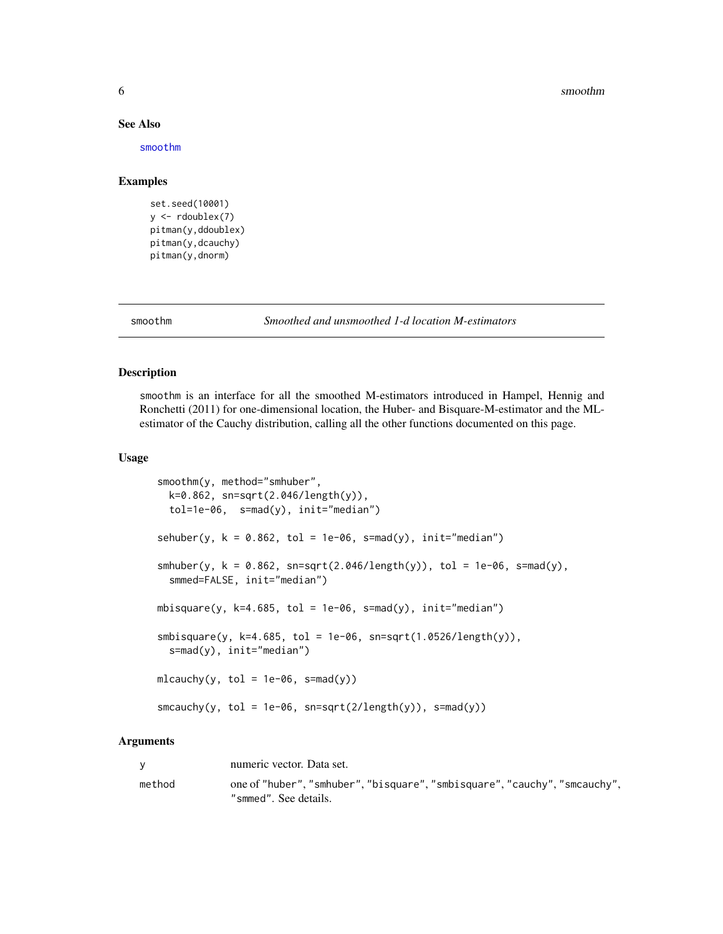#### 6 smoothm

#### See Also

[smoothm](#page-5-1)

## Examples

```
set.seed(10001)
y \leftarrow rdoublex(7)
pitman(y,ddoublex)
pitman(y,dcauchy)
pitman(y,dnorm)
```
<span id="page-5-1"></span>

smoothm *Smoothed and unsmoothed 1-d location M-estimators*

#### Description

smoothm is an interface for all the smoothed M-estimators introduced in Hampel, Hennig and Ronchetti (2011) for one-dimensional location, the Huber- and Bisquare-M-estimator and the MLestimator of the Cauchy distribution, calling all the other functions documented on this page.

#### Usage

```
smoothm(y, method="smhuber",
 k=0.862, sn=sqrt(2.046/length(y)),
 tol=1e-06, s=mad(y), init="median")
sehuber(y, k = 0.862, tol = 1e-06, s=mad(y), init="median")
smhuber(y, k = 0.862, sn=sqrt(2.046/length(y)), tol = 1e-06, s=mad(y),smmed=FALSE, init="median")
mbisquare(y, k=4.685, tol = 1e-06, s=mad(y), init="median")smbisquare(y, k=4.685, tol = 1e-06, sn=sqrt(1.0526/length(y)),s=mad(y), init="median")
mlcauchy(y, tol = 1e-06, s=mad(y))smcauchy(y, tol = 1e-06, sn=sqrt(2/length(y)), s=mad(y))
```
#### Arguments

| <b>V</b> | numeric vector. Data set.                                                                           |
|----------|-----------------------------------------------------------------------------------------------------|
| method   | one of "huber", "smhuber", "bisquare", "smbisquare", "cauchy", "smcauchy",<br>"smmed". See details. |

<span id="page-5-0"></span>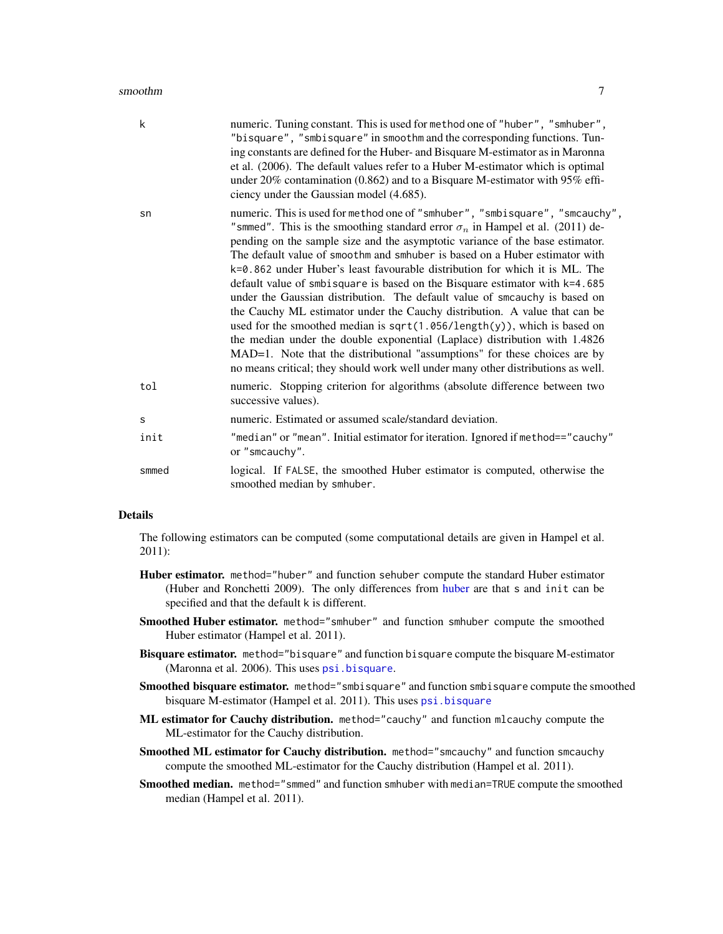<span id="page-6-0"></span>

| k     | numeric. Tuning constant. This is used for method one of "huber", "smhuber",<br>"bisquare", "smbisquare" in smoothm and the corresponding functions. Tun-<br>ing constants are defined for the Huber- and Bisquare M-estimator as in Maronna<br>et al. (2006). The default values refer to a Huber M-estimator which is optimal<br>under 20% contamination (0.862) and to a Bisquare M-estimator with 95% effi-<br>ciency under the Gaussian model (4.685).                                                                                                                                                                                                                                                                                                                                                                                                                                                                                                                                     |
|-------|-------------------------------------------------------------------------------------------------------------------------------------------------------------------------------------------------------------------------------------------------------------------------------------------------------------------------------------------------------------------------------------------------------------------------------------------------------------------------------------------------------------------------------------------------------------------------------------------------------------------------------------------------------------------------------------------------------------------------------------------------------------------------------------------------------------------------------------------------------------------------------------------------------------------------------------------------------------------------------------------------|
| sn    | numeric. This is used for method one of "smhuber", "smbisquare", "smcauchy",<br>"smmed". This is the smoothing standard error $\sigma_n$ in Hampel et al. (2011) de-<br>pending on the sample size and the asymptotic variance of the base estimator.<br>The default value of smoothm and smhuber is based on a Huber estimator with<br>$k=0.862$ under Huber's least favourable distribution for which it is ML. The<br>default value of smbisquare is based on the Bisquare estimator with k=4.685<br>under the Gaussian distribution. The default value of smcauchy is based on<br>the Cauchy ML estimator under the Cauchy distribution. A value that can be<br>used for the smoothed median is $sqrt(1.056/length(y))$ , which is based on<br>the median under the double exponential (Laplace) distribution with 1.4826<br>MAD=1. Note that the distributional "assumptions" for these choices are by<br>no means critical; they should work well under many other distributions as well. |
| tol   | numeric. Stopping criterion for algorithms (absolute difference between two<br>successive values).                                                                                                                                                                                                                                                                                                                                                                                                                                                                                                                                                                                                                                                                                                                                                                                                                                                                                              |
| S     | numeric. Estimated or assumed scale/standard deviation.                                                                                                                                                                                                                                                                                                                                                                                                                                                                                                                                                                                                                                                                                                                                                                                                                                                                                                                                         |
| init  | "median" or "mean". Initial estimator for iteration. Ignored if method=="cauchy"<br>or "smcauchy".                                                                                                                                                                                                                                                                                                                                                                                                                                                                                                                                                                                                                                                                                                                                                                                                                                                                                              |
| smmed | logical. If FALSE, the smoothed Huber estimator is computed, otherwise the<br>smoothed median by smhuber.                                                                                                                                                                                                                                                                                                                                                                                                                                                                                                                                                                                                                                                                                                                                                                                                                                                                                       |
|       |                                                                                                                                                                                                                                                                                                                                                                                                                                                                                                                                                                                                                                                                                                                                                                                                                                                                                                                                                                                                 |

#### Details

The following estimators can be computed (some computational details are given in Hampel et al. 2011):

- Huber estimator. method="huber" and function sehuber compute the standard Huber estimator (Huber and Ronchetti 2009). The only differences from [huber](#page-0-0) are that s and init can be specified and that the default k is different.
- Smoothed Huber estimator. method="smhuber" and function smhuber compute the smoothed Huber estimator (Hampel et al. 2011).
- Bisquare estimator. method="bisquare" and function bisquare compute the bisquare M-estimator (Maronna et al. 2006). This uses [psi.bisquare](#page-0-0).
- Smoothed bisquare estimator. method="smbisquare" and function smbisquare compute the smoothed bisquare M-estimator (Hampel et al. 2011). This uses [psi.bisquare](#page-0-0)
- ML estimator for Cauchy distribution. method="cauchy" and function mlcauchy compute the ML-estimator for the Cauchy distribution.
- Smoothed ML estimator for Cauchy distribution. method="smcauchy" and function smcauchy compute the smoothed ML-estimator for the Cauchy distribution (Hampel et al. 2011).
- Smoothed median. method="smmed" and function smhuber with median=TRUE compute the smoothed median (Hampel et al. 2011).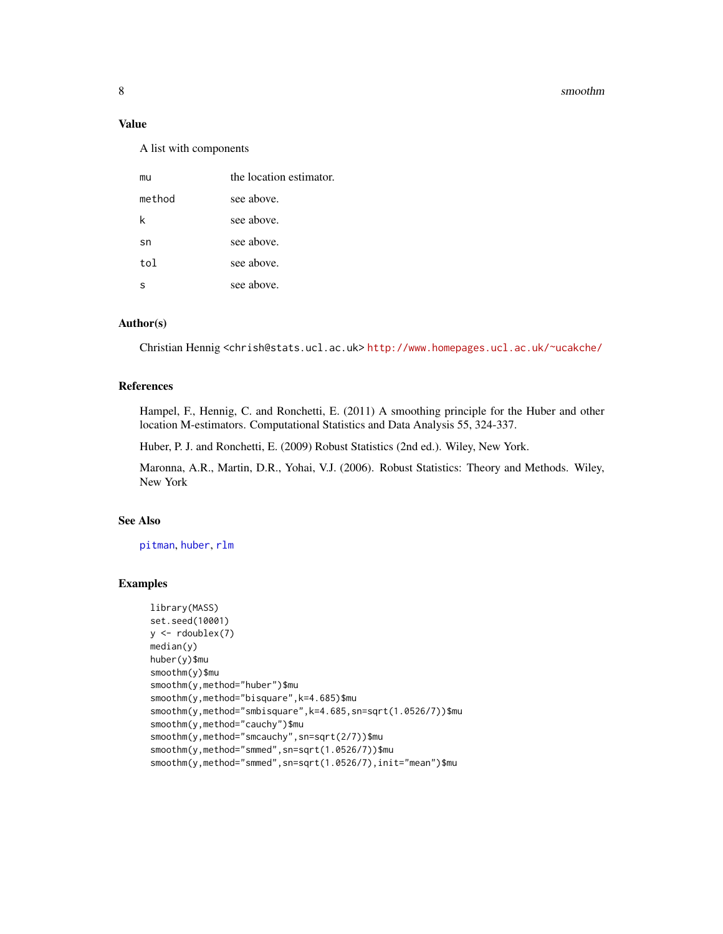#### <span id="page-7-0"></span>8 smoothm

#### Value

A list with components

| mu     | the location estimator. |
|--------|-------------------------|
| method | see above.              |
| k      | see above.              |
| sn     | see above.              |
| tol    | see above.              |
| s      | see above.              |

## Author(s)

Christian Hennig <chrish@stats.ucl.ac.uk> <http://www.homepages.ucl.ac.uk/~ucakche/>

#### References

Hampel, F., Hennig, C. and Ronchetti, E. (2011) A smoothing principle for the Huber and other location M-estimators. Computational Statistics and Data Analysis 55, 324-337.

Huber, P. J. and Ronchetti, E. (2009) Robust Statistics (2nd ed.). Wiley, New York.

Maronna, A.R., Martin, D.R., Yohai, V.J. (2006). Robust Statistics: Theory and Methods. Wiley, New York

## See Also

[pitman](#page-4-1), [huber](#page-0-0), [rlm](#page-0-0)

## Examples

```
library(MASS)
set.seed(10001)
y \leftarrow rdoublex(7)
median(y)
huber(y)$mu
smoothm(y)$mu
smoothm(y,method="huber")$mu
smoothm(y,method="bisquare",k=4.685)$mu
smoothm(y,method="smbisquare",k=4.685,sn=sqrt(1.0526/7))$mu
smoothm(y,method="cauchy")$mu
smoothm(y,method="smcauchy",sn=sqrt(2/7))$mu
smoothm(y,method="smmed",sn=sqrt(1.0526/7))$mu
smoothm(y,method="smmed",sn=sqrt(1.0526/7),init="mean")$mu
```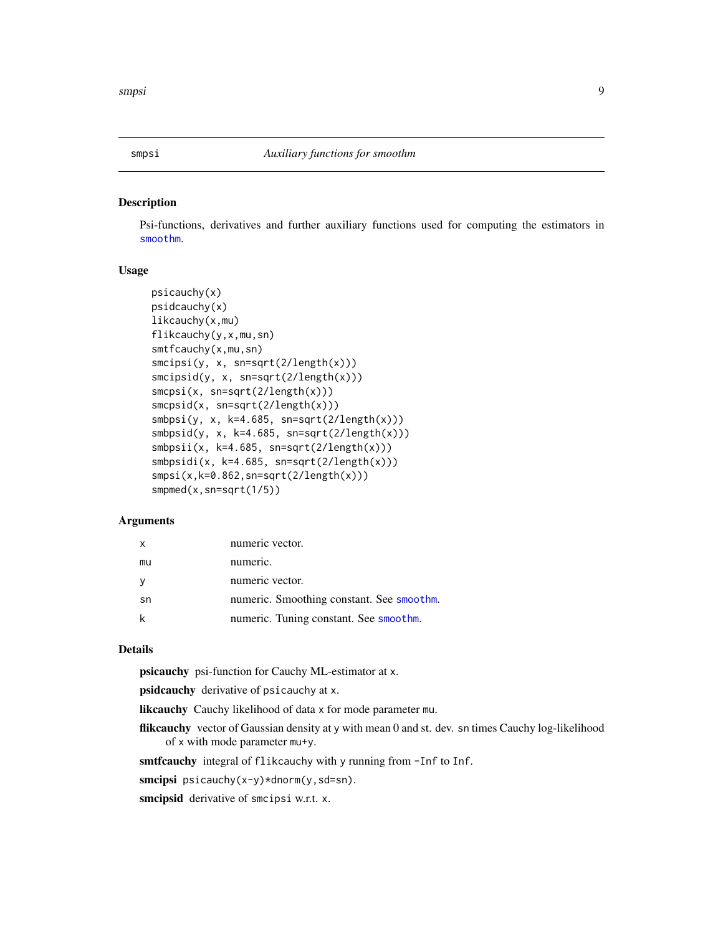<span id="page-8-0"></span>

#### Description

Psi-functions, derivatives and further auxiliary functions used for computing the estimators in [smoothm](#page-5-1).

#### Usage

```
psicauchy(x)
psidcauchy(x)
likcauchy(x,mu)
flikcauchy(y,x,mu,sn)
smtfcauchy(x,mu,sn)
smcipsi(y, x, sn=sqrt(2/length(x)))
smcipsid(y, x, sn=sqrt(2/length(x)))
smpsi(x, sn=sqrt(2/length(x)))smcpsid(x, sn=sqrt(2/length(x)))
smbsi(y, x, k=4.685, sn=sqrt(2/length(x)))smbpsid(y, x, k=4.685, sn=sqrt(2/length(x)))
smbpsi(x, k=4.685, sn=sqrt(2/length(x)))smbpsidi(x, k=4.685, sn=sqrt(2/length(x)))
smpsi(x,k=0.862,sn=sqrt(2/length(x)))smpmed(x,sn=sqrt(1/5))
```
#### **Arguments**

| $\boldsymbol{\mathsf{x}}$ | numeric vector.                           |
|---------------------------|-------------------------------------------|
| mu                        | numeric.                                  |
| <b>V</b>                  | numeric vector.                           |
| sn                        | numeric. Smoothing constant. See smoothm. |
|                           | numeric. Tuning constant. See smoothm.    |

## Details

psicauchy psi-function for Cauchy ML-estimator at x.

psidcauchy derivative of psicauchy at x.

likcauchy Cauchy likelihood of data x for mode parameter mu.

flikcauchy vector of Gaussian density at y with mean 0 and st. dev. sn times Cauchy log-likelihood of x with mode parameter mu+y.

smtfcauchy integral of flikcauchy with y running from -Inf to Inf.

smcipsi psicauchy(x-y)\*dnorm(y,sd=sn).

smcipsid derivative of smcipsi w.r.t. x.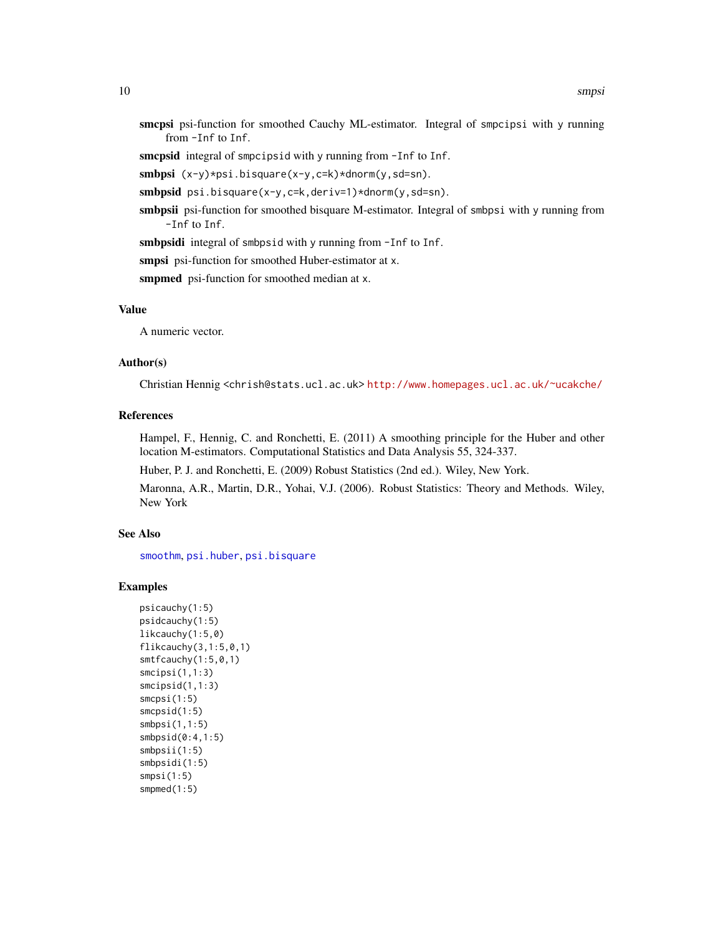<span id="page-9-0"></span>smcpsi psi-function for smoothed Cauchy ML-estimator. Integral of smpcipsi with y running from -Inf to Inf.

smcpsid integral of smpcipsid with y running from -Inf to Inf.

smbpsi (x-y)\*psi.bisquare(x-y,c=k)\*dnorm(y,sd=sn).

smbpsid psi.bisquare(x-y,c=k,deriv=1)\*dnorm(y,sd=sn).

smbpsii psi-function for smoothed bisquare M-estimator. Integral of smbpsi with y running from -Inf to Inf.

smbpsidi integral of smbpsid with y running from -Inf to Inf.

smpsi psi-function for smoothed Huber-estimator at x.

smpmed psi-function for smoothed median at x.

## Value

A numeric vector.

## Author(s)

Christian Hennig <chrish@stats.ucl.ac.uk> <http://www.homepages.ucl.ac.uk/~ucakche/>

## References

Hampel, F., Hennig, C. and Ronchetti, E. (2011) A smoothing principle for the Huber and other location M-estimators. Computational Statistics and Data Analysis 55, 324-337.

Huber, P. J. and Ronchetti, E. (2009) Robust Statistics (2nd ed.). Wiley, New York.

Maronna, A.R., Martin, D.R., Yohai, V.J. (2006). Robust Statistics: Theory and Methods. Wiley, New York

## See Also

[smoothm](#page-5-1), [psi.huber](#page-0-0), [psi.bisquare](#page-0-0)

#### Examples

```
psicauchy(1:5)
psidcauchy(1:5)
likcauchy(1:5,0)
flikcauchy(3,1:5,0,1)
smtfcauchy(1:5,0,1)
smcipsi(1,1:3)
smcipsid(1,1:3)
smcpsi(1:5)
smcpsid(1:5)
smbpsi(1,1:5)
smbpsid(0:4,1:5)
smbpsii(1:5)
smbpsidi(1:5)
smpsi(1:5)
smpmed(1:5)
```